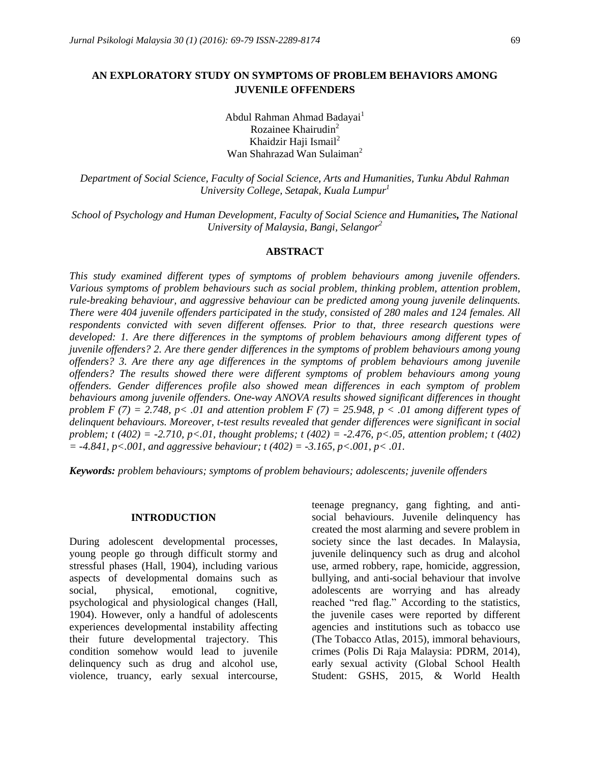# **AN EXPLORATORY STUDY ON SYMPTOMS OF PROBLEM BEHAVIORS AMONG JUVENILE OFFENDERS**

Abdul Rahman Ahmad Badayai<sup>1</sup> Rozainee Khairudin<sup>2</sup> Khaidzir Haji Ismail<sup>2</sup> Wan Shahrazad Wan Sulaiman<sup>2</sup>

*Department of Social Science, Faculty of Social Science, Arts and Humanities, Tunku Abdul Rahman University College, Setapak, Kuala Lumpur<sup>1</sup>*

*School of Psychology and Human Development, Faculty of Social Science and Humanities, The National University of Malaysia, Bangi, Selangor<sup>2</sup>*

### **ABSTRACT**

*This study examined different types of symptoms of problem behaviours among juvenile offenders. Various symptoms of problem behaviours such as social problem, thinking problem, attention problem, rule-breaking behaviour, and aggressive behaviour can be predicted among young juvenile delinquents. There were 404 juvenile offenders participated in the study, consisted of 280 males and 124 females. All respondents convicted with seven different offenses. Prior to that, three research questions were developed: 1. Are there differences in the symptoms of problem behaviours among different types of juvenile offenders? 2. Are there gender differences in the symptoms of problem behaviours among young offenders? 3. Are there any age differences in the symptoms of problem behaviours among juvenile offenders? The results showed there were different symptoms of problem behaviours among young offenders. Gender differences profile also showed mean differences in each symptom of problem behaviours among juvenile offenders. One-way ANOVA results showed significant differences in thought*  problem *F* (7) = 2.748, p < .01 and attention problem *F* (7) = 25.948, p < .01 among different types of *delinquent behaviours. Moreover, t-test results revealed that gender differences were significant in social problem; t (402) = -2.710, p<.01, thought problems; t (402) = -2.476, p<.05, attention problem; t (402) = -4.841, p<.001, and aggressive behaviour; t (402) = -3.165, p<.001, p< .01.* 

*Keywords: problem behaviours; symptoms of problem behaviours; adolescents; juvenile offenders* 

## **INTRODUCTION**

During adolescent developmental processes, young people go through difficult stormy and stressful phases (Hall, 1904), including various aspects of developmental domains such as social, physical, emotional, cognitive, psychological and physiological changes (Hall, 1904). However, only a handful of adolescents experiences developmental instability affecting their future developmental trajectory. This condition somehow would lead to juvenile delinquency such as drug and alcohol use, violence, truancy, early sexual intercourse,

teenage pregnancy, gang fighting, and antisocial behaviours. Juvenile delinquency has created the most alarming and severe problem in society since the last decades. In Malaysia, juvenile delinquency such as drug and alcohol use, armed robbery, rape, homicide, aggression, bullying, and anti-social behaviour that involve adolescents are worrying and has already reached "red flag." According to the statistics, the juvenile cases were reported by different agencies and institutions such as tobacco use (The Tobacco Atlas, 2015), immoral behaviours, crimes (Polis Di Raja Malaysia: PDRM, 2014), early sexual activity (Global School Health Student: GSHS, 2015, & World Health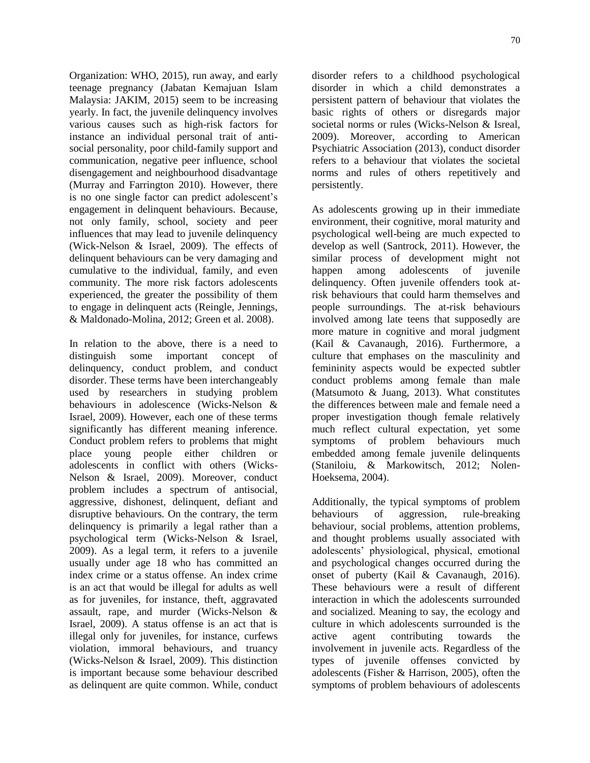Organization: WHO, 2015), run away, and early teenage pregnancy (Jabatan Kemajuan Islam Malaysia: JAKIM, 2015) seem to be increasing yearly. In fact, the juvenile delinquency involves various causes such as high-risk factors for instance an individual personal trait of antisocial personality, poor child-family support and communication, negative peer influence, school disengagement and neighbourhood disadvantage (Murray and Farrington 2010). However, there is no one single factor can predict adolescent's engagement in delinquent behaviours. Because, not only family, school, society and peer influences that may lead to juvenile delinquency (Wick-Nelson & Israel, 2009). The effects of delinquent behaviours can be very damaging and cumulative to the individual, family, and even community. The more risk factors adolescents experienced, the greater the possibility of them to engage in delinquent acts (Reingle, Jennings, & Maldonado-Molina, 2012; Green et al. 2008).

In relation to the above, there is a need to distinguish some important concept of delinquency, conduct problem, and conduct disorder. These terms have been interchangeably used by researchers in studying problem behaviours in adolescence (Wicks-Nelson & Israel, 2009). However, each one of these terms significantly has different meaning inference. Conduct problem refers to problems that might place young people either children or adolescents in conflict with others (Wicks-Nelson & Israel, 2009). Moreover, conduct problem includes a spectrum of antisocial, aggressive, dishonest, delinquent, defiant and disruptive behaviours. On the contrary, the term delinquency is primarily a legal rather than a psychological term (Wicks-Nelson & Israel, 2009). As a legal term, it refers to a juvenile usually under age 18 who has committed an index crime or a status offense. An index crime is an act that would be illegal for adults as well as for juveniles, for instance, theft, aggravated assault, rape, and murder (Wicks-Nelson & Israel, 2009). A status offense is an act that is illegal only for juveniles, for instance, curfews violation, immoral behaviours, and truancy (Wicks-Nelson & Israel, 2009). This distinction is important because some behaviour described as delinquent are quite common. While, conduct

disorder refers to a childhood psychological disorder in which a child demonstrates a persistent pattern of behaviour that violates the basic rights of others or disregards major societal norms or rules (Wicks-Nelson & Isreal, 2009). Moreover, according to American Psychiatric Association (2013), conduct disorder refers to a behaviour that violates the societal norms and rules of others repetitively and persistently.

As adolescents growing up in their immediate environment, their cognitive, moral maturity and psychological well-being are much expected to develop as well (Santrock, 2011). However, the similar process of development might not happen among adolescents of juvenile delinquency. Often juvenile offenders took atrisk behaviours that could harm themselves and people surroundings. The at-risk behaviours involved among late teens that supposedly are more mature in cognitive and moral judgment (Kail & Cavanaugh, 2016). Furthermore, a culture that emphases on the masculinity and femininity aspects would be expected subtler conduct problems among female than male (Matsumoto & Juang, 2013). What constitutes the differences between male and female need a proper investigation though female relatively much reflect cultural expectation, yet some symptoms of problem behaviours much embedded among female juvenile delinquents (Staniloiu, & Markowitsch, 2012; Nolen-Hoeksema, 2004).

Additionally, the typical symptoms of problem behaviours of aggression, rule-breaking behaviour, social problems, attention problems, and thought problems usually associated with adolescents' physiological, physical, emotional and psychological changes occurred during the onset of puberty (Kail & Cavanaugh, 2016). These behaviours were a result of different interaction in which the adolescents surrounded and socialized. Meaning to say, the ecology and culture in which adolescents surrounded is the active agent contributing towards the involvement in juvenile acts. Regardless of the types of juvenile offenses convicted by adolescents (Fisher & Harrison, 2005), often the symptoms of problem behaviours of adolescents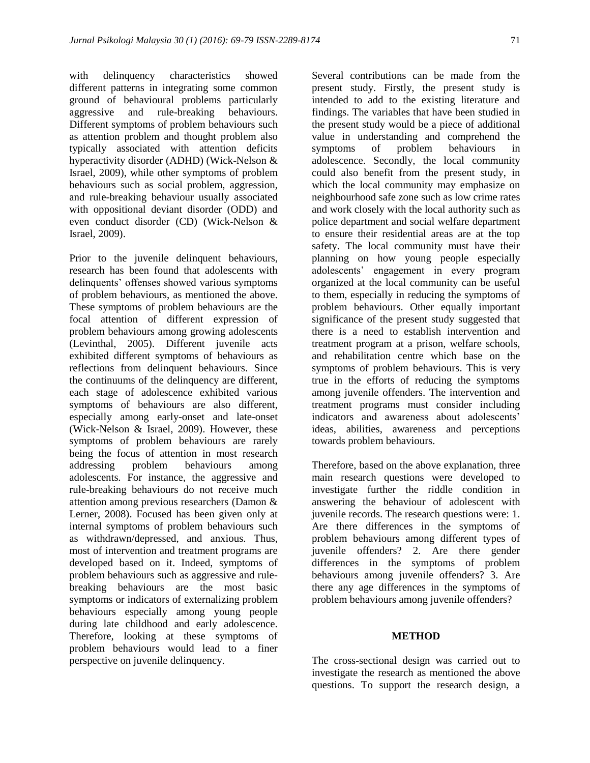with delinquency characteristics showed different patterns in integrating some common ground of behavioural problems particularly aggressive and rule-breaking behaviours. Different symptoms of problem behaviours such as attention problem and thought problem also typically associated with attention deficits hyperactivity disorder (ADHD) (Wick-Nelson & Israel, 2009), while other symptoms of problem behaviours such as social problem, aggression, and rule-breaking behaviour usually associated with oppositional deviant disorder (ODD) and even conduct disorder (CD) (Wick-Nelson & Israel, 2009).

Prior to the juvenile delinquent behaviours, research has been found that adolescents with delinquents' offenses showed various symptoms of problem behaviours, as mentioned the above. These symptoms of problem behaviours are the focal attention of different expression of problem behaviours among growing adolescents (Levinthal, 2005). Different juvenile acts exhibited different symptoms of behaviours as reflections from delinquent behaviours. Since the continuums of the delinquency are different, each stage of adolescence exhibited various symptoms of behaviours are also different, especially among early-onset and late-onset (Wick-Nelson & Israel, 2009). However, these symptoms of problem behaviours are rarely being the focus of attention in most research addressing problem behaviours among adolescents. For instance, the aggressive and rule-breaking behaviours do not receive much attention among previous researchers (Damon & Lerner, 2008). Focused has been given only at internal symptoms of problem behaviours such as withdrawn/depressed, and anxious. Thus, most of intervention and treatment programs are developed based on it. Indeed, symptoms of problem behaviours such as aggressive and rulebreaking behaviours are the most basic symptoms or indicators of externalizing problem behaviours especially among young people during late childhood and early adolescence. Therefore, looking at these symptoms of problem behaviours would lead to a finer perspective on juvenile delinquency.

Several contributions can be made from the present study. Firstly, the present study is intended to add to the existing literature and findings. The variables that have been studied in the present study would be a piece of additional value in understanding and comprehend the symptoms of problem behaviours in adolescence. Secondly, the local community could also benefit from the present study, in which the local community may emphasize on neighbourhood safe zone such as low crime rates and work closely with the local authority such as police department and social welfare department to ensure their residential areas are at the top safety. The local community must have their planning on how young people especially adolescents' engagement in every program organized at the local community can be useful to them, especially in reducing the symptoms of problem behaviours. Other equally important significance of the present study suggested that there is a need to establish intervention and treatment program at a prison, welfare schools, and rehabilitation centre which base on the symptoms of problem behaviours. This is very true in the efforts of reducing the symptoms among juvenile offenders. The intervention and treatment programs must consider including indicators and awareness about adolescents' ideas, abilities, awareness and perceptions towards problem behaviours.

Therefore, based on the above explanation, three main research questions were developed to investigate further the riddle condition in answering the behaviour of adolescent with juvenile records. The research questions were: 1. Are there differences in the symptoms of problem behaviours among different types of juvenile offenders? 2. Are there gender differences in the symptoms of problem behaviours among juvenile offenders? 3. Are there any age differences in the symptoms of problem behaviours among juvenile offenders?

#### **METHOD**

The cross-sectional design was carried out to investigate the research as mentioned the above questions. To support the research design, a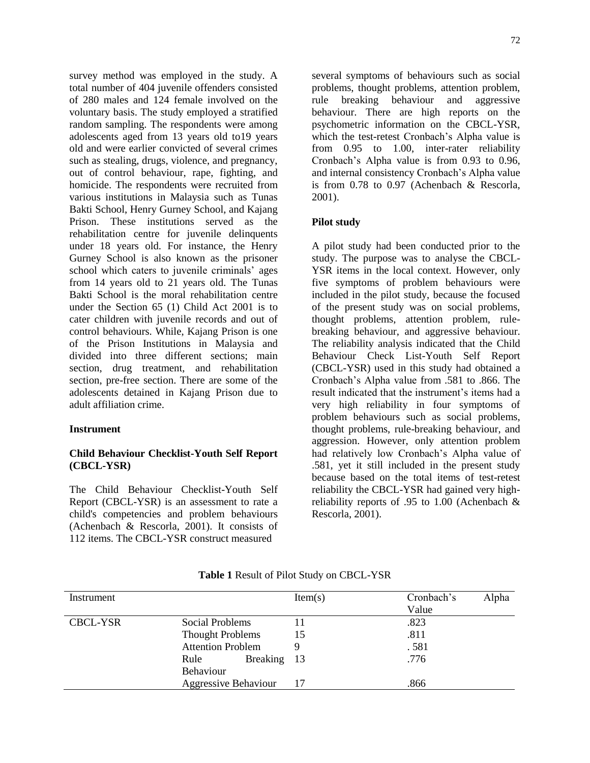survey method was employed in the study. A total number of 404 juvenile offenders consisted of 280 males and 124 female involved on the voluntary basis. The study employed a stratified random sampling. The respondents were among adolescents aged from 13 years old to19 years old and were earlier convicted of several crimes such as stealing, drugs, violence, and pregnancy, out of control behaviour, rape, fighting, and homicide. The respondents were recruited from various institutions in Malaysia such as Tunas Bakti School, Henry Gurney School, and Kajang Prison. These institutions served as the rehabilitation centre for juvenile delinquents under 18 years old. For instance, the Henry Gurney School is also known as the prisoner school which caters to juvenile criminals' ages from 14 years old to 21 years old. The Tunas Bakti School is the moral rehabilitation centre under the Section 65 (1) Child Act 2001 is to cater children with juvenile records and out of control behaviours. While, Kajang Prison is one of the Prison Institutions in Malaysia and divided into three different sections; main section, drug treatment, and rehabilitation section, pre-free section. There are some of the adolescents detained in Kajang Prison due to adult affiliation crime.

### **Instrument**

# **Child Behaviour Checklist-Youth Self Report (CBCL-YSR)**

The Child Behaviour Checklist-Youth Self Report (CBCL-YSR) is an assessment to rate a child's competencies and problem behaviours (Achenbach & Rescorla, 2001). It consists of 112 items. The CBCL-YSR construct measured

several symptoms of behaviours such as social problems, thought problems, attention problem, rule breaking behaviour and aggressive behaviour. There are high reports on the psychometric information on the CBCL-YSR, which the test-retest Cronbach's Alpha value is from 0.95 to 1.00, inter-rater reliability Cronbach's Alpha value is from 0.93 to 0.96, and internal consistency Cronbach's Alpha value is from 0.78 to 0.97 (Achenbach & Rescorla, 2001).

# **Pilot study**

A pilot study had been conducted prior to the study. The purpose was to analyse the CBCL-YSR items in the local context. However, only five symptoms of problem behaviours were included in the pilot study, because the focused of the present study was on social problems, thought problems, attention problem, rulebreaking behaviour, and aggressive behaviour. The reliability analysis indicated that the Child Behaviour Check List-Youth Self Report (CBCL-YSR) used in this study had obtained a Cronbach's Alpha value from .581 to .866. The result indicated that the instrument's items had a very high reliability in four symptoms of problem behaviours such as social problems, thought problems, rule-breaking behaviour, and aggression. However, only attention problem had relatively low Cronbach's Alpha value of .581, yet it still included in the present study because based on the total items of test-retest reliability the CBCL-YSR had gained very highreliability reports of .95 to 1.00 (Achenbach & Rescorla, 2001).

| Instrument |                             | Item(s) | Cronbach's | Alpha |
|------------|-----------------------------|---------|------------|-------|
|            |                             |         | Value      |       |
| CBCL-YSR   | Social Problems             |         | .823       |       |
|            | <b>Thought Problems</b>     | 15      | .811       |       |
|            | <b>Attention Problem</b>    |         | .581       |       |
|            | Breaking 13<br>Rule         |         | .776       |       |
|            | Behaviour                   |         |            |       |
|            | <b>Aggressive Behaviour</b> |         | .866       |       |

#### **Table 1** Result of Pilot Study on CBCL-YSR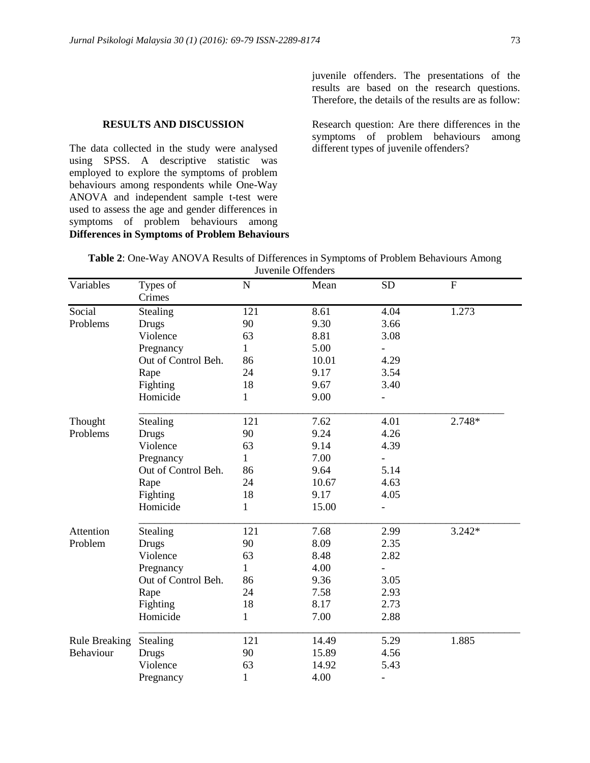juvenile offenders. The presentations of the results are based on the research questions. Therefore, the details of the results are as follow:

# **RESULTS AND DISCUSSION**

The data collected in the study were analysed using SPSS. A descriptive statistic was employed to explore the symptoms of problem behaviours among respondents while One-Way ANOVA and independent sample t-test were used to assess the age and gender differences in symptoms of problem behaviours among **Differences in Symptoms of Problem Behaviours**

Research question: Are there differences in the symptoms of problem behaviours among different types of juvenile offenders?

| Table 2: One-Way ANOVA Results of Differences in Symptoms of Problem Behaviours Among |  |
|---------------------------------------------------------------------------------------|--|
| Juvenile Offenders                                                                    |  |

| Variables            | Types of            | N   | Mean  | <b>SD</b>                | $\overline{F}$ |
|----------------------|---------------------|-----|-------|--------------------------|----------------|
|                      | Crimes              |     |       |                          |                |
| Social               | Stealing            | 121 | 8.61  | 4.04                     | 1.273          |
| Problems             | Drugs               | 90  | 9.30  | 3.66                     |                |
|                      | Violence            | 63  | 8.81  | 3.08                     |                |
|                      | Pregnancy           | 1   | 5.00  |                          |                |
|                      | Out of Control Beh. | 86  | 10.01 | 4.29                     |                |
|                      | Rape                | 24  | 9.17  | 3.54                     |                |
|                      | Fighting            | 18  | 9.67  | 3.40                     |                |
|                      | Homicide            | 1   | 9.00  | $\overline{\phantom{a}}$ |                |
| Thought              | Stealing            | 121 | 7.62  | 4.01                     | 2.748*         |
| Problems             | Drugs               | 90  | 9.24  | 4.26                     |                |
|                      | Violence            | 63  | 9.14  | 4.39                     |                |
|                      | Pregnancy           | 1   | 7.00  |                          |                |
|                      | Out of Control Beh. | 86  | 9.64  | 5.14                     |                |
|                      | Rape                | 24  | 10.67 | 4.63                     |                |
|                      | Fighting            | 18  | 9.17  | 4.05                     |                |
|                      | Homicide            | 1   | 15.00 | $\overline{\phantom{a}}$ |                |
| Attention            | Stealing            | 121 | 7.68  | 2.99                     | $3.242*$       |
| Problem              | Drugs               | 90  | 8.09  | 2.35                     |                |
|                      | Violence            | 63  | 8.48  | 2.82                     |                |
|                      | Pregnancy           | 1   | 4.00  | $\overline{\phantom{a}}$ |                |
|                      | Out of Control Beh. | 86  | 9.36  | 3.05                     |                |
|                      | Rape                | 24  | 7.58  | 2.93                     |                |
|                      | Fighting            | 18  | 8.17  | 2.73                     |                |
|                      | Homicide            | 1   | 7.00  | 2.88                     |                |
| <b>Rule Breaking</b> | Stealing            | 121 | 14.49 | 5.29                     | 1.885          |
| Behaviour            | Drugs               | 90  | 15.89 | 4.56                     |                |
|                      | Violence            | 63  | 14.92 | 5.43                     |                |
|                      | Pregnancy           | 1   | 4.00  | $\overline{\phantom{a}}$ |                |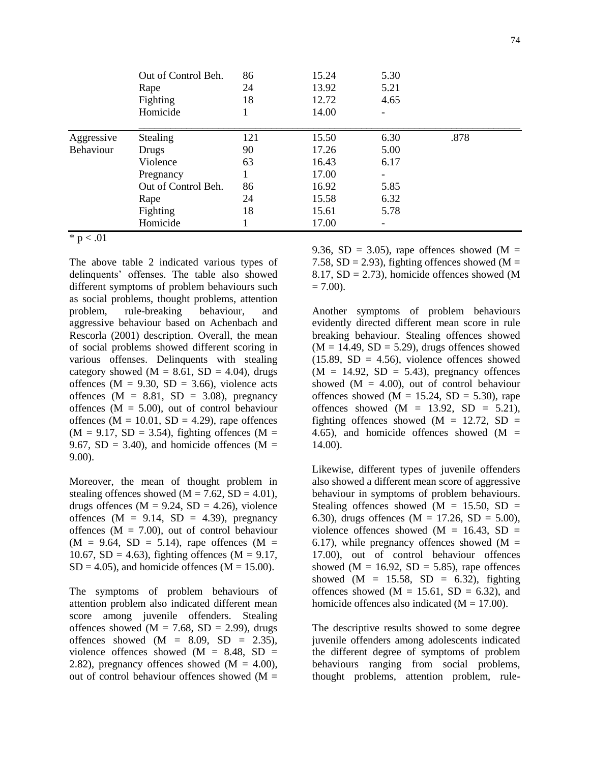|                  | Out of Control Beh.<br>Rape<br>Fighting<br>Homicide | 86<br>24<br>18 | 15.24<br>13.92<br>12.72<br>14.00 | 5.30<br>5.21<br>4.65 |      |
|------------------|-----------------------------------------------------|----------------|----------------------------------|----------------------|------|
| Aggressive       | <b>Stealing</b>                                     | 121            | 15.50                            | 6.30                 | .878 |
| <b>Behaviour</b> | Drugs                                               | 90             | 17.26                            | 5.00                 |      |
|                  | Violence                                            | 63             | 16.43                            | 6.17                 |      |
|                  | Pregnancy                                           |                | 17.00                            |                      |      |
|                  | Out of Control Beh.                                 | 86             | 16.92                            | 5.85                 |      |
|                  | Rape                                                | 24             | 15.58                            | 6.32                 |      |
|                  | Fighting                                            | 18             | 15.61                            | 5.78                 |      |
|                  | Homicide                                            |                | 17.00                            | -                    |      |

 $*$  p  $< .01$ 

The above table 2 indicated various types of delinquents' offenses. The table also showed different symptoms of problem behaviours such as social problems, thought problems, attention problem, rule-breaking behaviour, and aggressive behaviour based on Achenbach and Rescorla (2001) description. Overall, the mean of social problems showed different scoring in various offenses. Delinquents with stealing category showed ( $M = 8.61$ ,  $SD = 4.04$ ), drugs offences ( $M = 9.30$ ,  $SD = 3.66$ ), violence acts offences  $(M = 8.81, SD = 3.08)$ , pregnancy offences ( $M = 5.00$ ), out of control behaviour offences ( $M = 10.01$ ,  $SD = 4.29$ ), rape offences  $(M = 9.17, SD = 3.54)$ , fighting offences  $(M =$ 9.67, SD = 3.40), and homicide offences ( $M =$ 9.00).

Moreover, the mean of thought problem in stealing offences showed ( $M = 7.62$ ,  $SD = 4.01$ ), drugs offences ( $M = 9.24$ ,  $SD = 4.26$ ), violence offences  $(M = 9.14, SD = 4.39)$ , pregnancy offences ( $M = 7.00$ ), out of control behaviour  $(M = 9.64, SD = 5.14)$ , rape offences  $(M =$ 10.67, SD = 4.63), fighting offences (M =  $9.17$ ,  $SD = 4.05$ , and homicide offences ( $M = 15.00$ ).

The symptoms of problem behaviours of attention problem also indicated different mean score among juvenile offenders. Stealing offences showed ( $M = 7.68$ ,  $SD = 2.99$ ), drugs offences showed  $(M = 8.09, SD = 2.35)$ , violence offences showed ( $M = 8.48$ , SD = 2.82), pregnancy offences showed  $(M = 4.00)$ , out of control behaviour offences showed  $(M =$ 

9.36, SD = 3.05), rape offences showed (M = 7.58,  $SD = 2.93$ ), fighting offences showed (M = 8.17,  $SD = 2.73$ ), homicide offences showed (M  $= 7.00$ ).

Another symptoms of problem behaviours evidently directed different mean score in rule breaking behaviour. Stealing offences showed  $(M = 14.49, SD = 5.29)$ , drugs offences showed  $(15.89, SD = 4.56)$ , violence offences showed  $(M = 14.92, SD = 5.43)$ , pregnancy offences showed  $(M = 4.00)$ , out of control behaviour offences showed ( $M = 15.24$ , SD = 5.30), rape offences showed  $(M = 13.92, SD = 5.21)$ , fighting offences showed ( $M = 12.72$ , SD = 4.65), and homicide offences showed  $(M =$ 14.00).

Likewise, different types of juvenile offenders also showed a different mean score of aggressive behaviour in symptoms of problem behaviours. Stealing offences showed  $(M = 15.50, SD =$ 6.30), drugs offences ( $M = 17.26$ ,  $SD = 5.00$ ), violence offences showed ( $M = 16.43$ , SD = 6.17), while pregnancy offences showed  $(M =$ 17.00), out of control behaviour offences showed ( $M = 16.92$ ,  $SD = 5.85$ ), rape offences showed (M = 15.58, SD = 6.32), fighting offences showed ( $M = 15.61$ ,  $SD = 6.32$ ), and homicide offences also indicated  $(M = 17.00)$ .

The descriptive results showed to some degree juvenile offenders among adolescents indicated the different degree of symptoms of problem behaviours ranging from social problems, thought problems, attention problem, rule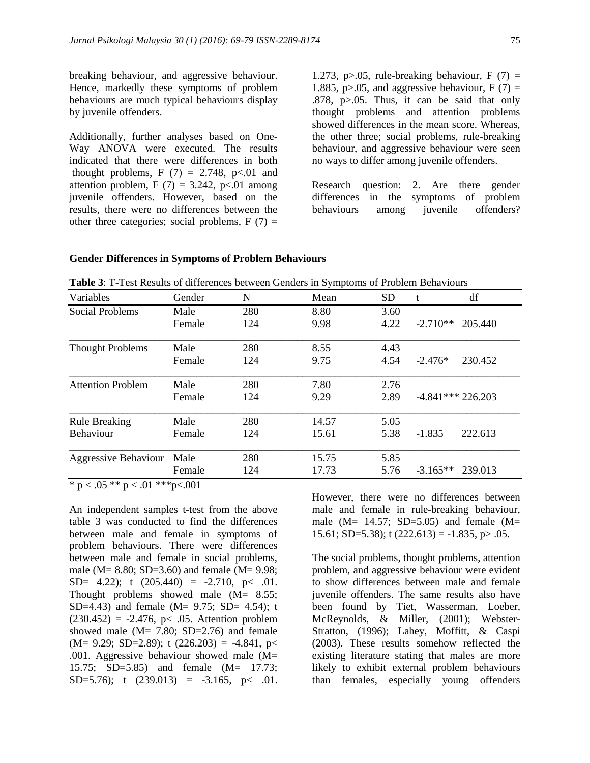breaking behaviour, and aggressive behaviour. Hence, markedly these symptoms of problem behaviours are much typical behaviours display by juvenile offenders.

Additionally, further analyses based on One-Way ANOVA were executed. The results indicated that there were differences in both thought problems,  $F(7) = 2.748$ ,  $p<01$  and attention problem, F  $(7) = 3.242$ , p<.01 among juvenile offenders. However, based on the results, there were no differences between the other three categories; social problems,  $F(7) =$ 

1.273, p $> 0.05$ , rule-breaking behaviour, F (7) = 1.885, p>.05, and aggressive behaviour,  $F(7) =$ .878, p>.05. Thus, it can be said that only thought problems and attention problems showed differences in the mean score. Whereas, the other three; social problems, rule-breaking behaviour, and aggressive behaviour were seen no ways to differ among juvenile offenders.

Research question: 2. Are there gender differences in the symptoms of problem behaviours among juvenile offenders?

# **Gender Differences in Symptoms of Problem Behaviours**

| Variables                   | Gender | N   | Mean  | <b>SD</b> | t                  | df      |
|-----------------------------|--------|-----|-------|-----------|--------------------|---------|
| <b>Social Problems</b>      | Male   | 280 | 8.80  | 3.60      |                    |         |
|                             | Female | 124 | 9.98  | 4.22      | $-2.710**$         | 205.440 |
| <b>Thought Problems</b>     | Male   | 280 | 8.55  | 4.43      |                    |         |
|                             | Female | 124 | 9.75  | 4.54      | $-2.476*$          | 230.452 |
| <b>Attention Problem</b>    | Male   | 280 | 7.80  | 2.76      |                    |         |
|                             | Female | 124 | 9.29  | 2.89      | $-4.841***226.203$ |         |
| <b>Rule Breaking</b>        | Male   | 280 | 14.57 | 5.05      |                    |         |
| Behaviour                   | Female | 124 | 15.61 | 5.38      | $-1.835$           | 222.613 |
| <b>Aggressive Behaviour</b> | Male   | 280 | 15.75 | 5.85      |                    |         |
|                             | Female | 124 | 17.73 | 5.76      | $-3.165**$         | 239.013 |

**Table 3**: T-Test Results of differences between Genders in Symptoms of Problem Behaviours

\* p < .05 \*\* p < .01 \*\*\* p < .001

An independent samples t-test from the above table 3 was conducted to find the differences between male and female in symptoms of problem behaviours. There were differences between male and female in social problems, male (M=  $8.80$ ; SD=3.60) and female (M=  $9.98$ ;  $SD = 4.22$ ; t  $(205.440) = -2.710$ , p< .01. Thought problems showed male (M= 8.55; SD=4.43) and female (M=  $9.75$ ; SD= 4.54); t  $(230.452) = -2.476$ , p< .05. Attention problem showed male  $(M= 7.80; SD=2.76)$  and female  $(M= 9.29; SD=2.89); t (226.203) = -4.841, p <$ .001. Aggressive behaviour showed male (M= 15.75; SD=5.85) and female (M= 17.73; SD=5.76); t  $(239.013) = -3.165$ , p< .01.

However, there were no differences between male and female in rule-breaking behaviour, male  $(M= 14.57; SD=5.05)$  and female  $(M=$ 15.61; SD=5.38); t  $(222.613) = -1.835$ , p $> .05$ .

The social problems, thought problems, attention problem, and aggressive behaviour were evident to show differences between male and female juvenile offenders. The same results also have been found by Tiet, Wasserman, Loeber, McReynolds, & Miller, (2001); Webster-Stratton, (1996); Lahey, Moffitt, & Caspi (2003). These results somehow reflected the existing literature stating that males are more likely to exhibit external problem behaviours than females, especially young offenders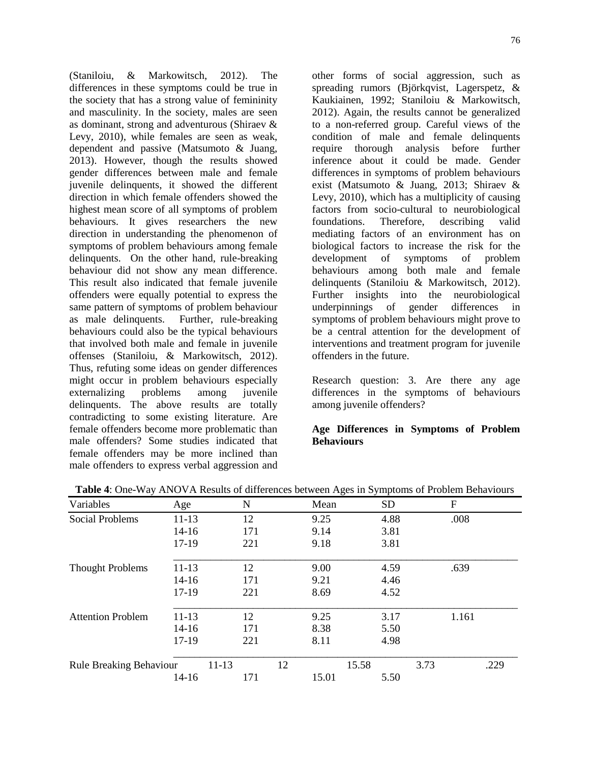(Staniloiu, & Markowitsch, 2012). The differences in these symptoms could be true in the society that has a strong value of femininity and masculinity. In the society, males are seen as dominant, strong and adventurous (Shiraev & Levy, 2010), while females are seen as weak, dependent and passive (Matsumoto & Juang, 2013). However, though the results showed gender differences between male and female juvenile delinquents, it showed the different direction in which female offenders showed the highest mean score of all symptoms of problem behaviours. It gives researchers the new direction in understanding the phenomenon of symptoms of problem behaviours among female delinquents. On the other hand, rule-breaking behaviour did not show any mean difference. This result also indicated that female juvenile offenders were equally potential to express the same pattern of symptoms of problem behaviour as male delinquents. Further, rule-breaking behaviours could also be the typical behaviours that involved both male and female in juvenile offenses (Staniloiu, & Markowitsch, 2012). Thus, refuting some ideas on gender differences might occur in problem behaviours especially externalizing problems among juvenile delinquents. The above results are totally contradicting to some existing literature. Are female offenders become more problematic than male offenders? Some studies indicated that female offenders may be more inclined than male offenders to express verbal aggression and

other forms of social aggression, such as spreading rumors (Björkqvist, Lagerspetz, & Kaukiainen, 1992; Staniloiu & Markowitsch, 2012). Again, the results cannot be generalized to a non-referred group. Careful views of the condition of male and female delinquents require thorough analysis before further inference about it could be made. Gender differences in symptoms of problem behaviours exist (Matsumoto & Juang, 2013; Shiraev & Levy, 2010), which has a multiplicity of causing factors from socio-cultural to neurobiological foundations. Therefore, describing valid mediating factors of an environment has on biological factors to increase the risk for the development of symptoms of problem behaviours among both male and female delinquents (Staniloiu & Markowitsch, 2012). Further insights into the neurobiological underpinnings of gender differences in symptoms of problem behaviours might prove to be a central attention for the development of interventions and treatment program for juvenile offenders in the future.

Research question: 3. Are there any age differences in the symptoms of behaviours among juvenile offenders?

# **Age Differences in Symptoms of Problem Behaviours**

|                                |           |       |    |       | $\circ$   |      |                  |      |
|--------------------------------|-----------|-------|----|-------|-----------|------|------------------|------|
| Variables                      | Age       | N     |    | Mean  | <b>SD</b> |      | $\boldsymbol{F}$ |      |
| <b>Social Problems</b>         | $11 - 13$ | 12    |    | 9.25  |           | 4.88 | .008             |      |
|                                | $14-16$   | 171   |    | 9.14  |           | 3.81 |                  |      |
|                                | 17-19     | 221   |    | 9.18  |           | 3.81 |                  |      |
| <b>Thought Problems</b>        | $11 - 13$ | 12    |    | 9.00  |           | 4.59 | .639             |      |
|                                | $14-16$   | 171   |    | 9.21  |           | 4.46 |                  |      |
|                                | 17-19     | 221   |    | 8.69  |           | 4.52 |                  |      |
| <b>Attention Problem</b>       | 11-13     | 12    |    | 9.25  |           | 3.17 | 1.161            |      |
|                                | $14-16$   | 171   |    | 8.38  |           | 5.50 |                  |      |
|                                | 17-19     | 221   |    | 8.11  |           | 4.98 |                  |      |
| <b>Rule Breaking Behaviour</b> |           | 11-13 | 12 |       | 15.58     |      | 3.73             | .229 |
|                                | $14-16$   | 171   |    | 15.01 |           | 5.50 |                  |      |

**Table 4**: One-Way ANOVA Results of differences between Ages in Symptoms of Problem Behaviours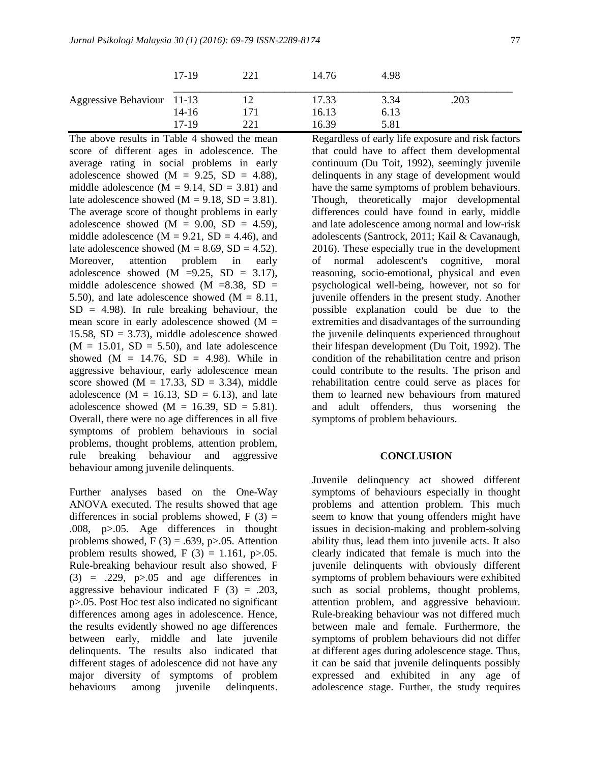|                            | 17-19 | 221 | 14.76 | 4.98 |      |
|----------------------------|-------|-----|-------|------|------|
| Aggressive Behaviour 11-13 |       | 12  | 17.33 | 3.34 | .203 |
|                            | 14-16 | 171 | 16.13 | 6.13 |      |
|                            | 17-19 | 221 | 16.39 | 5.81 |      |

The above results in Table 4 showed the mean score of different ages in adolescence. The average rating in social problems in early adolescence showed ( $M = 9.25$ , SD = 4.88), middle adolescence  $(M = 9.14, SD = 3.81)$  and late adolescence showed ( $M = 9.18$ ,  $SD = 3.81$ ). The average score of thought problems in early adolescence showed  $(M = 9.00, SD = 4.59)$ , middle adolescence  $(M = 9.21, SD = 4.46)$ , and late adolescence showed ( $M = 8.69$ ,  $SD = 4.52$ ). Moreover, attention problem in early adolescence showed (M =9.25, SD = 3.17), middle adolescence showed  $(M = 8.38, SD =$ 5.50), and late adolescence showed  $(M = 8.11,$  $SD = 4.98$ . In rule breaking behaviour, the mean score in early adolescence showed  $(M =$ 15.58,  $SD = 3.73$ , middle adolescence showed  $(M = 15.01, SD = 5.50)$ , and late adolescence showed ( $M = 14.76$ ,  $SD = 4.98$ ). While in aggressive behaviour, early adolescence mean score showed ( $M = 17.33$ ,  $SD = 3.34$ ), middle adolescence ( $M = 16.13$ ,  $SD = 6.13$ ), and late adolescence showed  $(M = 16.39, SD = 5.81)$ . Overall, there were no age differences in all five symptoms of problem behaviours in social problems, thought problems, attention problem, rule breaking behaviour and aggressive behaviour among juvenile delinquents.

Further analyses based on the One-Way ANOVA executed. The results showed that age differences in social problems showed,  $F(3) =$ .008, p>.05. Age differences in thought problems showed,  $F(3) = .639$ , p $> 0.05$ . Attention problem results showed,  $F(3) = 1.161$ , p>.05. Rule-breaking behaviour result also showed, F  $(3)$  = .229,  $p>0.05$  and age differences in aggressive behaviour indicated F  $(3) = .203$ , p>.05. Post Hoc test also indicated no significant differences among ages in adolescence. Hence, the results evidently showed no age differences between early, middle and late juvenile delinquents. The results also indicated that different stages of adolescence did not have any major diversity of symptoms of problem behaviours among juvenile delinquents.

Regardless of early life exposure and risk factors that could have to affect them developmental continuum (Du Toit, 1992), seemingly juvenile delinquents in any stage of development would have the same symptoms of problem behaviours. Though, theoretically major developmental differences could have found in early, middle and late adolescence among normal and low-risk adolescents (Santrock, 2011; Kail & Cavanaugh, 2016). These especially true in the development of normal adolescent's cognitive, moral reasoning, socio-emotional, physical and even psychological well-being, however, not so for juvenile offenders in the present study. Another possible explanation could be due to the extremities and disadvantages of the surrounding the juvenile delinquents experienced throughout their lifespan development (Du Toit, 1992). The condition of the rehabilitation centre and prison could contribute to the results. The prison and rehabilitation centre could serve as places for them to learned new behaviours from matured and adult offenders, thus worsening the symptoms of problem behaviours.

### **CONCLUSION**

Juvenile delinquency act showed different symptoms of behaviours especially in thought problems and attention problem. This much seem to know that young offenders might have issues in decision-making and problem-solving ability thus, lead them into juvenile acts. It also clearly indicated that female is much into the juvenile delinquents with obviously different symptoms of problem behaviours were exhibited such as social problems, thought problems, attention problem, and aggressive behaviour. Rule-breaking behaviour was not differed much between male and female. Furthermore, the symptoms of problem behaviours did not differ at different ages during adolescence stage. Thus, it can be said that juvenile delinquents possibly expressed and exhibited in any age of adolescence stage. Further, the study requires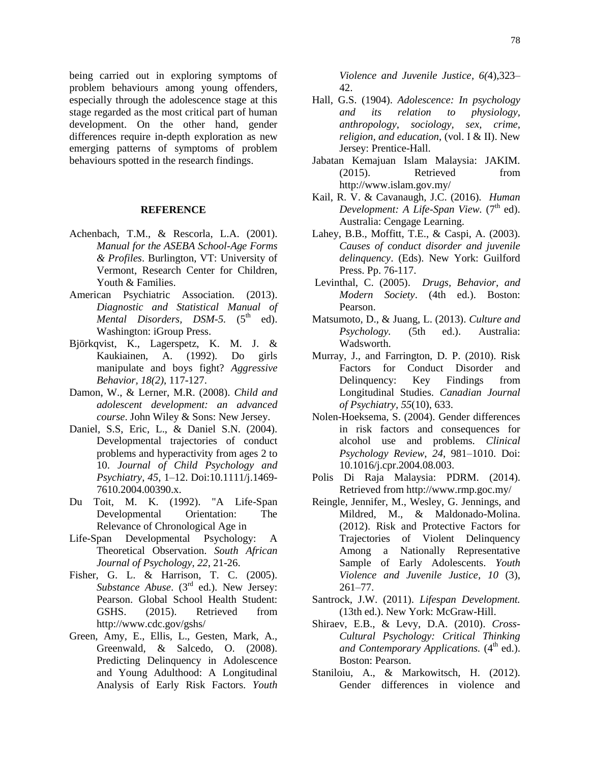being carried out in exploring symptoms of problem behaviours among young offenders, especially through the adolescence stage at this stage regarded as the most critical part of human development. On the other hand, gender differences require in-depth exploration as new emerging patterns of symptoms of problem behaviours spotted in the research findings.

# **REFERENCE**

- Achenbach, T.M., & Rescorla, L.A. (2001). *Manual for the ASEBA School-Age Forms & Profiles*. Burlington, VT: University of Vermont, Research Center for Children, Youth & Families.
- American Psychiatric Association. (2013). *Diagnostic and Statistical Manual of Mental Disorders, DSM-5.* (5<sup>th</sup> ed). Washington: iGroup Press.
- Björkqvist, K., Lagerspetz, K. M. J. & Kaukiainen, A. (1992). Do girls manipulate and boys fight? *Aggressive Behavior, 18(2)*, 117-127.
- Damon, W., & Lerner, M.R. (2008). *Child and adolescent development: an advanced course*. John Wiley & Sons: New Jersey.
- Daniel, S.S, Eric, L., & Daniel S.N. (2004). Developmental trajectories of conduct problems and hyperactivity from ages 2 to 10. *Journal of Child Psychology and Psychiatry, 45,* 1–12. Doi:10.1111/j.1469- 7610.2004.00390.x.
- Du Toit, M. K. (1992). "A Life-Span Developmental Orientation: The Relevance of Chronological Age in
- Life-Span Developmental Psychology: A Theoretical Observation. *South African Journal of Psychology, 22*, 21-26.
- Fisher, G. L. & Harrison, T. C. (2005). Substance Abuse. (3<sup>rd</sup> ed.). New Jersey: Pearson. Global School Health Student: GSHS. (2015). Retrieved from http://www.cdc.gov/gshs/
- Green, Amy, E., Ellis, L., Gesten, Mark, A., Greenwald, & Salcedo, O. (2008). Predicting Delinquency in Adolescence and Young Adulthood: A Longitudinal Analysis of Early Risk Factors. *Youth*

*Violence and Juvenile Justice, 6(*4),323– 42.

- Hall, G.S. (1904). *Adolescence: In psychology and its relation to physiology, anthropology, sociology, sex, crime, religion, and education*, (vol. I & II). New Jersey: Prentice-Hall.
- Jabatan Kemajuan Islam Malaysia: JAKIM. (2015). Retrieved from http://www.islam.gov.my/
- Kail, R. V. & Cavanaugh, J.C. (2016). *Human*  Development: A Life-Span View. (7<sup>th</sup> ed). Australia: Cengage Learning.
- Lahey, B.B., Moffitt, T.E., & Caspi, A. (2003). *Causes of conduct disorder and juvenile delinquency*. (Eds). New York: Guilford Press. Pp. 76-117.
- Levinthal, C. (2005). *Drugs, Behavior, and Modern Society*. (4th ed.). Boston: Pearson.
- Matsumoto, D., & Juang, L. (2013). *Culture and Psychology.* (5th ed.). Australia: Wadsworth.
- Murray, J., and Farrington, D. P. (2010). Risk Factors for Conduct Disorder and Delinquency: Key Findings from Longitudinal Studies. *Canadian Journal of Psychiatry, 55*(10), 633.
- Nolen-Hoeksema, S. (2004). Gender differences in risk factors and consequences for alcohol use and problems. *Clinical Psychology Review*, *24*, 981–1010. Doi: 10.1016/j.cpr.2004.08.003.
- Polis Di Raja Malaysia: PDRM. (2014). Retrieved from http://www.rmp.goc.my/
- Reingle, Jennifer, M., Wesley, G. Jennings, and Mildred, M., & Maldonado-Molina. (2012). Risk and Protective Factors for Trajectories of Violent Delinquency Among a Nationally Representative Sample of Early Adolescents. *Youth Violence and Juvenile Justice, 10* (3), 261–77.
- Santrock, J.W. (2011). *Lifespan Development.*  (13th ed.). New York: McGraw-Hill.
- Shiraev, E.B., & Levy, D.A. (2010). *Cross-Cultural Psychology: Critical Thinking and Contemporary Applications.* (4<sup>th</sup> ed.). Boston: Pearson.
- Staniloiu, A., & Markowitsch, H. (2012). Gender differences in violence and